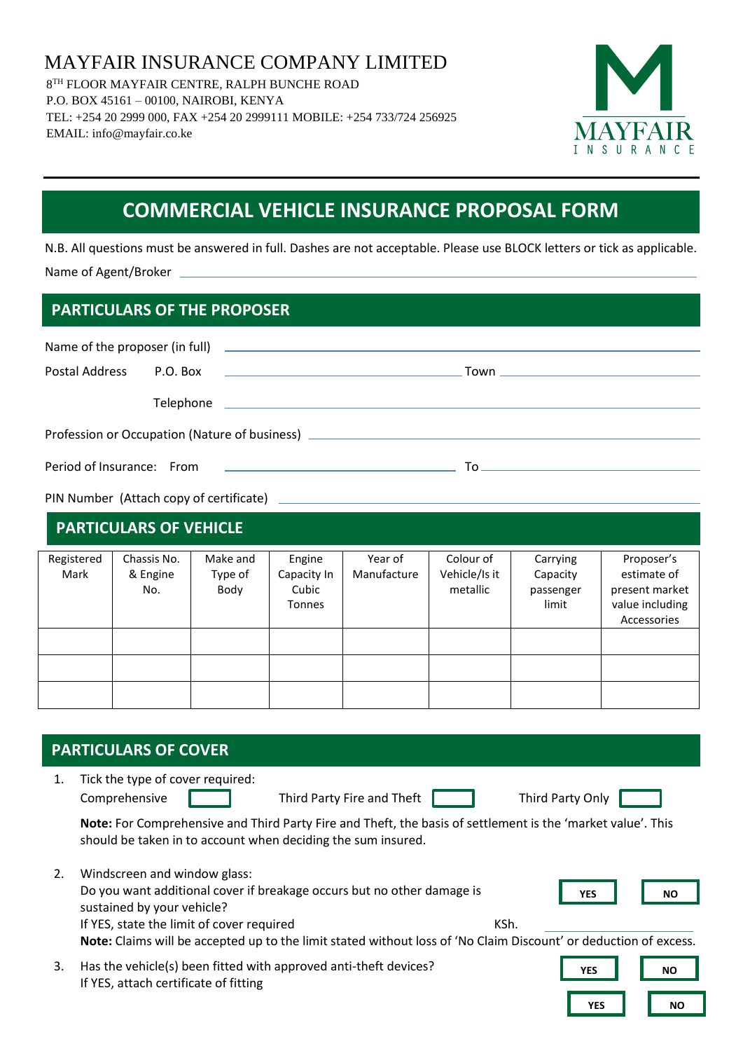MAYFAIR INSURANCE COMPANY LIMITED

 8 TH FLOOR MAYFAIR CENTRE, RALPH BUNCHE ROAD P.O. BOX 45161 – 00100, NAIROBI, KENYA TEL: +254 20 2999 000, FAX +254 20 2999111 MOBILE: +254 733/724 256925 EMAIL: info@mayfair.co.ke



# **COMMERCIAL VEHICLE INSURANCE PROPOSAL FORM**

N.B. All questions must be answered in full. Dashes are not acceptable. Please use BLOCK letters or tick as applicable. Name of Agent/Broker

### **PARTICULARS OF THE PROPOSER**

| Postal Address                                                                                        |  |  |  |  |  |
|-------------------------------------------------------------------------------------------------------|--|--|--|--|--|
|                                                                                                       |  |  |  |  |  |
| Profession or Occupation (Nature of business) __________________________________                      |  |  |  |  |  |
| Period of Insurance: From<br><u> 1989 - Johann Stein, fransk politiker (d. 1989)</u><br>$\mathsf{T0}$ |  |  |  |  |  |

PIN Number (Attach copy of certificate)

#### Registered Mark Chassis No. & Engine No. Make and Type of Body Engine Capacity In Cubic Tonnes Year of Manufacture Colour of Vehicle/Is it metallic Carrying Capacity passenger limit Proposer's estimate of present market value including Accessories **PARTICULARS OF VEHICLE**

#### **PARTICULARS OF COVER**

1. Tick the type of cover required: Comprehensive Third Party Fire and Theft Third Party Only

**Note:** For Comprehensive and Third Party Fire and Theft, the basis of settlement is the 'market value'. This should be taken in to account when deciding the sum insured.

| 2. | Windscreen and window glass:                                                                                     |      |            |           |
|----|------------------------------------------------------------------------------------------------------------------|------|------------|-----------|
|    | Do you want additional cover if breakage occurs but no other damage is                                           |      | <b>YES</b> | <b>NO</b> |
|    | sustained by your vehicle?                                                                                       |      |            |           |
|    | If YES, state the limit of cover required                                                                        | KSh. |            |           |
|    | Note: Claims will be accepted up to the limit stated without loss of 'No Claim Discount' or deduction of excess. |      |            |           |

3. Has the vehicle(s) been fitted with approved anti-theft devices? If YES, attach certificate of fitting

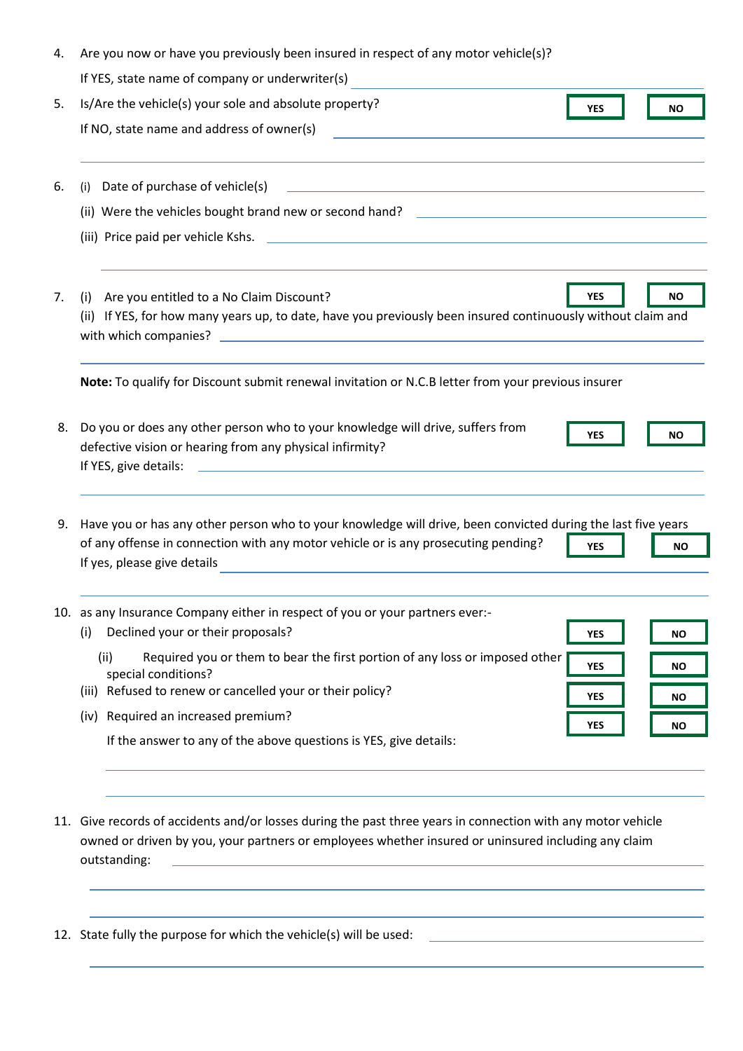| 4. | Are you now or have you previously been insured in respect of any motor vehicle(s)?                                                                                                                                                                                                                        |           |
|----|------------------------------------------------------------------------------------------------------------------------------------------------------------------------------------------------------------------------------------------------------------------------------------------------------------|-----------|
|    | If YES, state name of company or underwriter(s)                                                                                                                                                                                                                                                            |           |
| 5. | Is/Are the vehicle(s) your sole and absolute property?<br><b>YES</b>                                                                                                                                                                                                                                       | <b>NO</b> |
|    | If NO, state name and address of owner(s)                                                                                                                                                                                                                                                                  |           |
| 6. | Date of purchase of vehicle(s)<br><u> 1989 - Johann Harry Harry Harry Harry Harry Harry Harry Harry Harry Harry Harry Harry Harry Harry Harry Harry</u><br>(i)                                                                                                                                             |           |
|    |                                                                                                                                                                                                                                                                                                            |           |
|    |                                                                                                                                                                                                                                                                                                            |           |
| 7. | Are you entitled to a No Claim Discount?<br>(i)<br>YES<br>If YES, for how many years up, to date, have you previously been insured continuously without claim and<br>(ii)                                                                                                                                  | <b>NO</b> |
|    | Note: To qualify for Discount submit renewal invitation or N.C.B letter from your previous insurer                                                                                                                                                                                                         |           |
| 8. | Do you or does any other person who to your knowledge will drive, suffers from<br><b>YES</b><br>defective vision or hearing from any physical infirmity?<br><u> 1989 - Johann Harry Harry Harry Harry Harry Harry Harry Harry Harry Harry Harry Harry Harry Harry Harry Harry</u><br>If YES, give details: | <b>NO</b> |
| 9. | Have you or has any other person who to your knowledge will drive, been convicted during the last five years<br>of any offense in connection with any motor vehicle or is any prosecuting pending?<br><b>YES</b><br>If yes, please give details                                                            | NΟ        |
|    | 10. as any Insurance Company either in respect of you or your partners ever:-<br>Declined your or their proposals?<br>(i)<br><b>YES</b>                                                                                                                                                                    | NO.       |
|    | Required you or them to bear the first portion of any loss or imposed other<br>(iii)<br><b>YES</b><br>special conditions?                                                                                                                                                                                  | <b>NO</b> |
|    | (iii) Refused to renew or cancelled your or their policy?<br>YES                                                                                                                                                                                                                                           | NO.       |
|    | (iv) Required an increased premium?<br><b>YES</b>                                                                                                                                                                                                                                                          | ΝO        |
|    | If the answer to any of the above questions is YES, give details:                                                                                                                                                                                                                                          |           |
|    | 11. Give records of accidents and/or losses during the past three years in connection with any motor vehicle<br>owned or driven by you, your partners or employees whether insured or uninsured including any claim<br>outstanding:                                                                        |           |

12. State fully the purpose for which the vehicle(s) will be used: